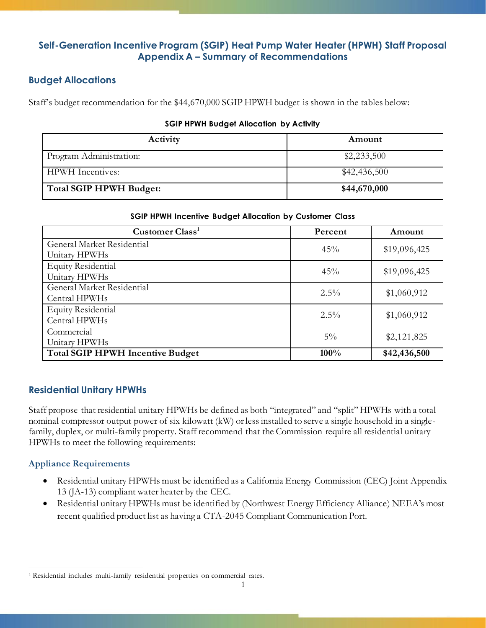# **Self-Generation Incentive Program (SGIP) Heat Pump Water Heater (HPWH) Staff Proposal Appendix A – Summary of Recommendations**

## **Budget Allocations**

Staff's budget recommendation for the \$44,670,000 SGIP HPWH budget is shown in the tables below:

#### **SGIP HPWH Budget Allocation by Activity**

| Activity                       | Amount       |
|--------------------------------|--------------|
| Program Administration:        | \$2,233,500  |
| <b>HPWH</b> Incentives:        | \$42,436,500 |
| <b>Total SGIP HPWH Budget:</b> | \$44,670,000 |

#### **SGIP HPWH Incentive Budget Allocation by Customer Class**

| Customer Class <sup>1</sup>             | Percent | Amount       |
|-----------------------------------------|---------|--------------|
| General Market Residential              | 45%     | \$19,096,425 |
| Unitary HPWHs                           |         |              |
| <b>Equity Residential</b>               | 45%     | \$19,096,425 |
| Unitary HPWHs                           |         |              |
| General Market Residential              | $2.5\%$ | \$1,060,912  |
| Central HPWHs                           |         |              |
| <b>Equity Residential</b>               | $2.5\%$ | \$1,060,912  |
| Central HPWHs                           |         |              |
| Commercial                              | $5\%$   | \$2,121,825  |
| Unitary HPWHs                           |         |              |
| <b>Total SGIP HPWH Incentive Budget</b> | 100%    | \$42,436,500 |

## **Residential Unitary HPWHs**

Staff propose that residential unitary HPWHs be defined as both "integrated" and "split" HPWHs with a total nominal compressor output power of six kilowatt (kW) or less installed to serve a single household in a singlefamily, duplex, or multi-family property. Staff recommend that the Commission require all residential unitary HPWHs to meet the following requirements:

### **Appliance Requirements**

- Residential unitary HPWHs must be identified as a California Energy Commission (CEC) Joint Appendix 13 (JA-13) compliant water heater by the CEC.
- Residential unitary HPWHs must be identified by (Northwest Energy Efficiency Alliance) NEEA's most recent qualified product list as having a CTA-2045 Compliant Communication Port.

<sup>1</sup> Residential includes multi-family residential properties on commercial rates.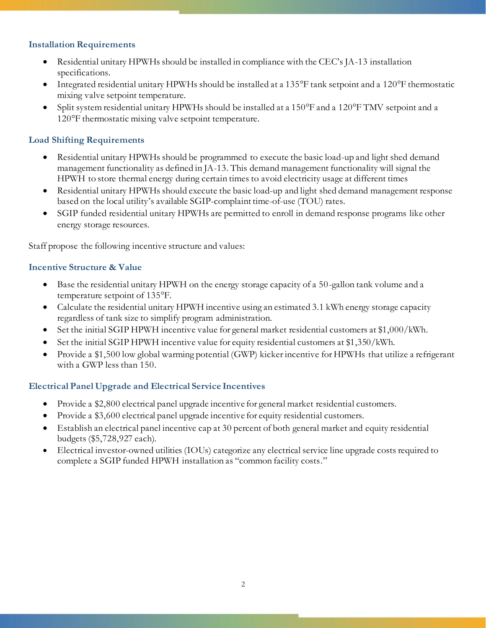### **Installation Requirements**

- Residential unitary HPWHs should be installed in compliance with the CEC's JA-13 installation specifications.
- Integrated residential unitary HPWHs should be installed at a 135°F tank setpoint and a 120°F thermostatic mixing valve setpoint temperature.
- Split system residential unitary HPWHs should be installed at a 150°F and a 120°F TMV setpoint and a 120°F thermostatic mixing valve setpoint temperature.

## **Load Shifting Requirements**

- Residential unitary HPWHs should be programmed to execute the basic load-up and light shed demand management functionality as defined in JA-13. This demand management functionality will signal the HPWH to store thermal energy during certain times to avoid electricity usage at different times
- Residential unitary HPWHs should execute the basic load-up and light shed demand management response based on the local utility's available SGIP-complaint time-of-use (TOU) rates.
- SGIP funded residential unitary HPWHs are permitted to enroll in demand response programs like other energy storage resources.

Staff propose the following incentive structure and values:

### **Incentive Structure & Value**

- Base the residential unitary HPWH on the energy storage capacity of a 50-gallon tank volume and a temperature setpoint of 135°F.
- Calculate the residential unitary HPWH incentive using an estimated 3.1 kWh energy storage capacity regardless of tank size to simplify program administration.
- Set the initial SGIP HPWH incentive value for general market residential customers at \$1,000/kWh.
- Set the initial SGIP HPWH incentive value for equity residential customers at \$1,350/kWh.
- Provide a \$1,500 low global warming potential (GWP) kicker incentive for HPWHs that utilize a refrigerant with a GWP less than 150.

### **Electrical Panel Upgrade and Electrical Service Incentives**

- Provide a \$2,800 electrical panel upgrade incentive for general market residential customers.
- Provide a \$3,600 electrical panel upgrade incentive for equity residential customers.
- Establish an electrical panel incentive cap at 30 percent of both general market and equity residential budgets (\$5,728,927 each).
- Electrical investor-owned utilities (IOUs) categorize any electrical service line upgrade costs required to complete a SGIP funded HPWH installation as "common facility costs."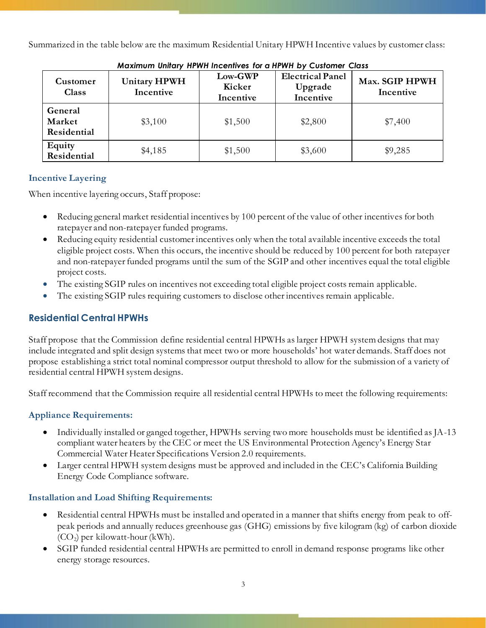Summarized in the table below are the maximum Residential Unitary HPWH Incentive values by customer class:

| Customer<br>Class                | <b>Unitary HPWH</b><br>Incentive | Low-GWP<br>Kicker<br>Incentive | <b>Electrical Panel</b><br>Upgrade<br>Incentive | Max. SGIP HPWH<br>Incentive |
|----------------------------------|----------------------------------|--------------------------------|-------------------------------------------------|-----------------------------|
| General<br>Market<br>Residential | \$3,100                          | \$1,500                        | \$2,800                                         | \$7,400                     |
| Equity<br>Residential            | \$4,185                          | \$1,500                        | \$3,600                                         | \$9,285                     |

*Maximum Unitary HPWH Incentives for a HPWH by Customer Class*

# **Incentive Layering**

When incentive layering occurs, Staff propose:

- Reducing general market residential incentives by 100 percent of the value of other incentives for both ratepayer and non-ratepayer funded programs.
- Reducing equity residential customer incentives only when the total available incentive exceeds the total eligible project costs. When this occurs, the incentive should be reduced by 100 percent for both ratepayer and non-ratepayer funded programs until the sum of the SGIP and other incentives equal the total eligible project costs.
- The existing SGIP rules on incentives not exceeding total eligible project costs remain applicable.
- The existing SGIP rules requiring customers to disclose other incentives remain applicable.

# **Residential Central HPWHs**

Staff propose that the Commission define residential central HPWHs as larger HPWH system designs that may include integrated and split design systems that meet two or more households' hot water demands. Staff does not propose establishing a strict total nominal compressor output threshold to allow for the submission of a variety of residential central HPWH system designs.

Staff recommend that the Commission require all residential central HPWHs to meet the following requirements:

# **Appliance Requirements:**

- Individually installed or ganged together, HPWHs serving two more households must be identified as JA-13 compliant water heaters by the CEC or meet the US Environmental Protection Agency's Energy Star Commercial Water Heater Specifications Version 2.0 requirements.
- Larger central HPWH system designs must be approved and included in the CEC's California Building Energy Code Compliance software.

# **Installation and Load Shifting Requirements:**

- Residential central HPWHs must be installed and operated in a manner that shifts energy from peak to offpeak periods and annually reduces greenhouse gas (GHG) emissions by five kilogram (kg) of carbon dioxide  $(CO<sub>2</sub>)$  per kilowatt-hour (kWh).
- SGIP funded residential central HPWHs are permitted to enroll in demand response programs like other energy storage resources.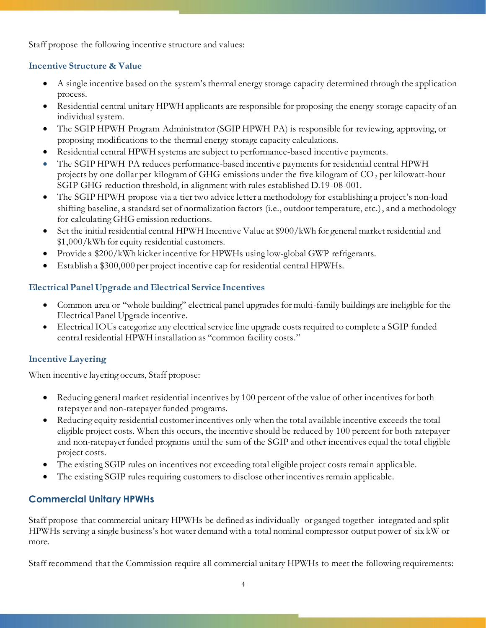Staff propose the following incentive structure and values:

## **Incentive Structure & Value**

- A single incentive based on the system's thermal energy storage capacity determined through the application process.
- Residential central unitary HPWH applicants are responsible for proposing the energy storage capacity of an individual system.
- The SGIP HPWH Program Administrator (SGIP HPWH PA) is responsible for reviewing, approving, or proposing modifications to the thermal energy storage capacity calculations.
- Residential central HPWH systems are subject to performance-based incentive payments.
- The SGIP HPWH PA reduces performance-based incentive payments for residential central HPWH projects by one dollar per kilogram of GHG emissions under the five kilogram of  $CO<sub>2</sub>$  per kilowatt-hour SGIP GHG reduction threshold, in alignment with rules established D.19-08-001.
- The SGIP HPWH propose via a tier two advice letter a methodology for establishing a project's non-load shifting baseline, a standard set of normalization factors (i.e., outdoor temperature, etc.), and a methodology for calculating GHG emission reductions.
- Set the initial residential central HPWH Incentive Value at \$900/kWh for general market residential and \$1,000/kWh for equity residential customers.
- Provide a \$200/kWh kicker incentive for HPWHs using low-global GWP refrigerants.
- Establish a \$300,000 per project incentive cap for residential central HPWHs.

## **Electrical Panel Upgrade and Electrical Service Incentives**

- Common area or "whole building" electrical panel upgrades for multi-family buildings are ineligible for the Electrical Panel Upgrade incentive.
- Electrical IOUs categorize any electrical service line upgrade costs required to complete a SGIP funded central residential HPWH installation as "common facility costs."

## **Incentive Layering**

When incentive layering occurs, Staff propose:

- Reducing general market residential incentives by 100 percent of the value of other incentives for both ratepayer and non-ratepayer funded programs.
- Reducing equity residential customer incentives only when the total available incentive exceeds the total eligible project costs. When this occurs, the incentive should be reduced by 100 percent for both ratepayer and non-ratepayer funded programs until the sum of the SGIP and other incentives equal the total eligible project costs.
- The existing SGIP rules on incentives not exceeding total eligible project costs remain applicable.
- The existing SGIP rules requiring customers to disclose other incentives remain applicable.

# **Commercial Unitary HPWHs**

Staff propose that commercial unitary HPWHs be defined as individually- or ganged together- integrated and split HPWHs serving a single business's hot water demand with a total nominal compressor output power of six kW or more.

Staff recommend that the Commission require all commercial unitary HPWHs to meet the following requirements: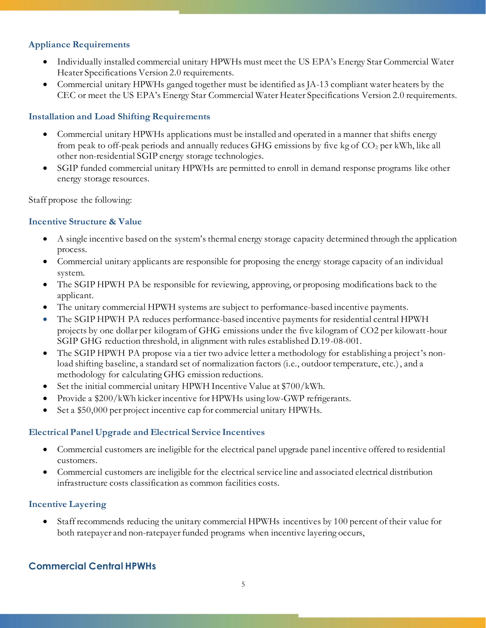## **Appliance Requirements**

- Individually installed commercial unitary HPWHs must meet the US EPA's Energy Star Commercial Water Heater Specifications Version 2.0 requirements.
- Commercial unitary HPWHs ganged together must be identified as JA-13 compliant water heaters by the CEC or meet the US EPA's Energy Star Commercial Water Heater Specifications Version 2.0 requirements.

### **Installation and Load Shifting Requirements**

- Commercial unitary HPWHs applications must be installed and operated in a manner that shifts energy from peak to off-peak periods and annually reduces GHG emissions by five kg of  $CO<sub>2</sub>$  per kWh, like all other non-residential SGIP energy storage technologies.
- SGIP funded commercial unitary HPWHs are permitted to enroll in demand response programs like other energy storage resources.

Staff propose the following:

## **Incentive Structure & Value**

- A single incentive based on the system's thermal energy storage capacity determined through the application process.
- Commercial unitary applicants are responsible for proposing the energy storage capacity of an individual system.
- The SGIP HPWH PA be responsible for reviewing, approving, or proposing modifications back to the applicant.
- The unitary commercial HPWH systems are subject to performance-based incentive payments.
- The SGIP HPWH PA reduces performance-based incentive payments for residential central HPWH projects by one dollar per kilogram of GHG emissions under the five kilogram of CO2 per kilowatt-hour SGIP GHG reduction threshold, in alignment with rules established D.19-08-001.
- The SGIP HPWH PA propose via a tier two advice letter a methodology for establishing a project's nonload shifting baseline, a standard set of normalization factors (i.e., outdoor temperature, etc.), and a methodology for calculating GHG emission reductions.
- Set the initial commercial unitary HPWH Incentive Value at \$700/kWh.
- Provide a \$200/kWh kicker incentive for HPWHs using low-GWP refrigerants.
- Set a \$50,000 per project incentive cap for commercial unitary HPWHs.

### **Electrical Panel Upgrade and Electrical Service Incentives**

- Commercial customers are ineligible for the electrical panel upgrade panel incentive offered to residential customers.
- Commercial customers are ineligible for the electrical service line and associated electrical distribution infrastructure costs classification as common facilities costs.

### **Incentive Layering**

• Staff recommends reducing the unitary commercial HPWHs incentives by 100 percent of their value for both ratepayer and non-ratepayer funded programs when incentive layering occurs,

# **Commercial Central HPWHs**